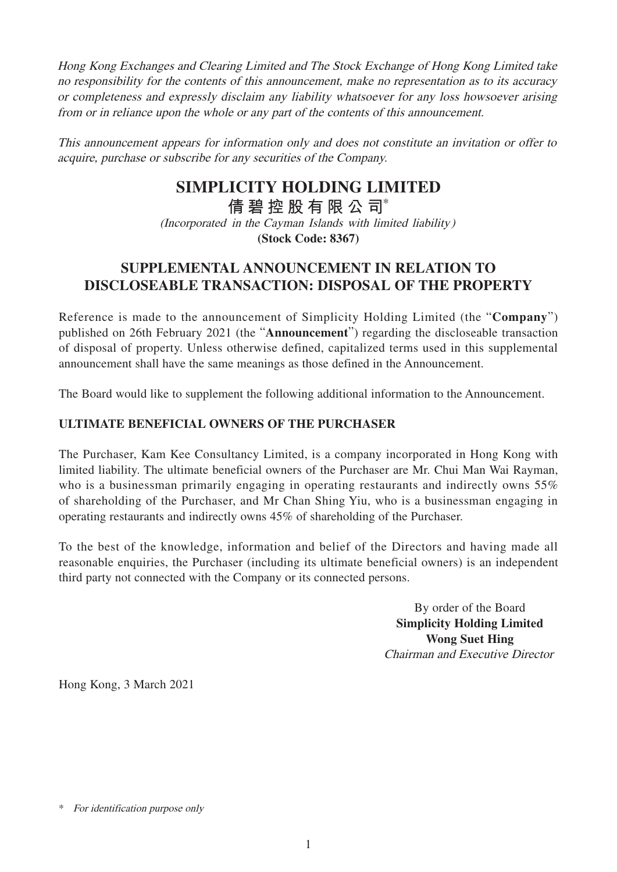Hong Kong Exchanges and Clearing Limited and The Stock Exchange of Hong Kong Limited take no responsibility for the contents of this announcement, make no representation as to its accuracy or completeness and expressly disclaim any liability whatsoever for any loss howsoever arising from or in reliance upon the whole or any part of the contents of this announcement.

This announcement appears for information only and does not constitute an invitation or offer to acquire, purchase or subscribe for any securities of the Company.

## **SIMPLICITY HOLDING LIMITED**

**倩碧控股有限公 司**\*

(Incorporated in the Cayman Islands with limited liability) **(Stock Code: 8367)**

## **SUPPLEMENTAL ANNOUNCEMENT IN RELATION TO DISCLOSEABLE TRANSACTION: DISPOSAL OF THE PROPERTY**

Reference is made to the announcement of Simplicity Holding Limited (the "**Company**") published on 26th February 2021 (the "**Announcement**") regarding the discloseable transaction of disposal of property. Unless otherwise defined, capitalized terms used in this supplemental announcement shall have the same meanings as those defined in the Announcement.

The Board would like to supplement the following additional information to the Announcement.

## **ULTIMATE BENEFICIAL OWNERS OF THE PURCHASER**

The Purchaser, Kam Kee Consultancy Limited, is a company incorporated in Hong Kong with limited liability. The ultimate beneficial owners of the Purchaser are Mr. Chui Man Wai Rayman, who is a businessman primarily engaging in operating restaurants and indirectly owns 55% of shareholding of the Purchaser, and Mr Chan Shing Yiu, who is a businessman engaging in operating restaurants and indirectly owns 45% of shareholding of the Purchaser.

To the best of the knowledge, information and belief of the Directors and having made all reasonable enquiries, the Purchaser (including its ultimate beneficial owners) is an independent third party not connected with the Company or its connected persons.

> By order of the Board **Simplicity Holding Limited Wong Suet Hing** Chairman and Executive Director

Hong Kong, 3 March 2021

<sup>\*</sup> For identification purpose only